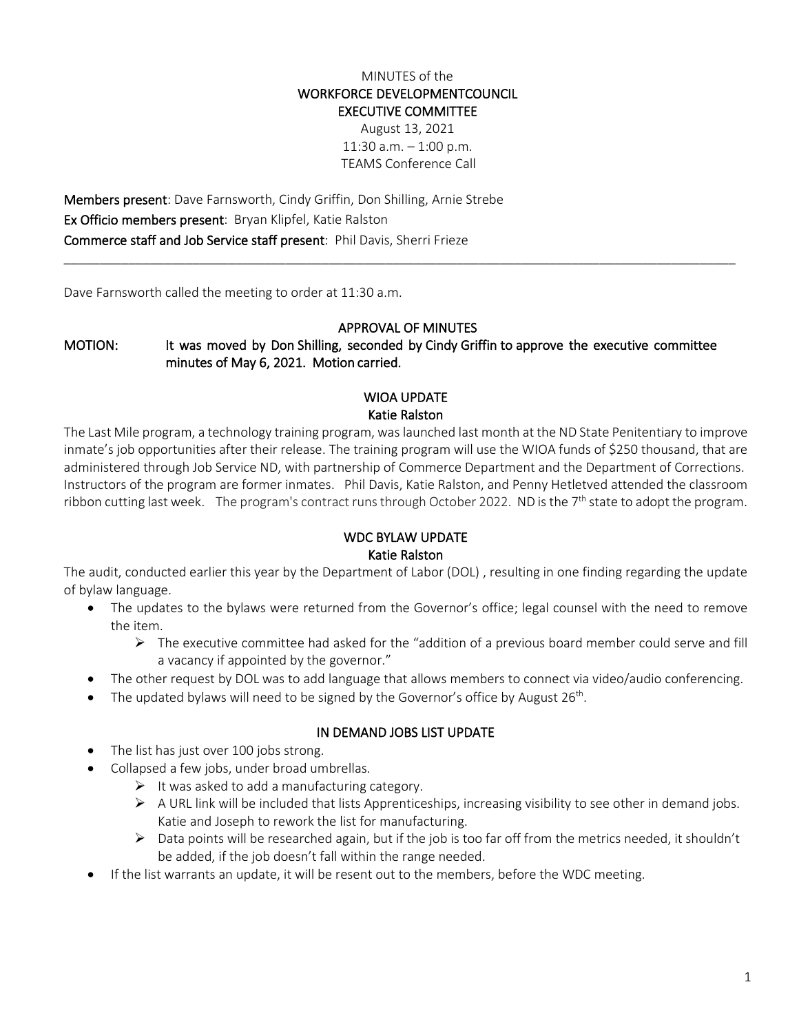## MINUTES of the WORKFORCE DEVELOPMENTCOUNCIL EXECUTIVE COMMITTEE

August 13, 2021 11:30 a.m. – 1:00 p.m. TEAMS Conference Call

Members present: Dave Farnsworth, Cindy Griffin, Don Shilling, Arnie Strebe Ex Officio members present: Bryan Klipfel, Katie Ralston Commerce staff and Job Service staff present: Phil Davis, Sherri Frieze

Dave Farnsworth called the meeting to order at 11:30 a.m.

#### APPROVAL OF MINUTES

\_\_\_\_\_\_\_\_\_\_\_\_\_\_\_\_\_\_\_\_\_\_\_\_\_\_\_\_\_\_\_\_\_\_\_\_\_\_\_\_\_\_\_\_\_\_\_\_\_\_\_\_\_\_\_\_\_\_\_\_\_\_\_\_\_\_\_\_\_\_\_\_\_\_\_\_\_\_\_\_\_\_\_\_\_\_\_\_\_\_\_\_\_\_

MOTION: It was moved by Don Shilling, seconded by Cindy Griffin to approve the executive committee minutes of May 6, 2021. Motion carried.

### WIOA UPDATE Katie Ralston

The Last Mile program, a technology training program, was launched last month at the ND State Penitentiary to improve inmate's job opportunities after their release. The training program will use the WIOA funds of \$250 thousand, that are administered through Job Service ND, with partnership of Commerce Department and the Department of Corrections. Instructors of the program are former inmates. Phil Davis, Katie Ralston, and Penny Hetletved attended the classroom ribbon cutting last week. The program's contract runs through October 2022. ND is the 7<sup>th</sup> state to adopt the program.

## WDC BYLAW UPDATE Katie Ralston

The audit, conducted earlier this year by the Department of Labor (DOL) , resulting in one finding regarding the update of bylaw language.

- The updates to the bylaws were returned from the Governor's office; legal counsel with the need to remove the item.
	- $\triangleright$  The executive committee had asked for the "addition of a previous board member could serve and fill a vacancy if appointed by the governor."
- The other request by DOL was to add language that allows members to connect via video/audio conferencing.
- The updated bylaws will need to be signed by the Governor's office by August  $26<sup>th</sup>$ .

### IN DEMAND JOBS LIST UPDATE

- The list has just over 100 jobs strong.
	- Collapsed a few jobs, under broad umbrellas.
		- $\triangleright$  It was asked to add a manufacturing category.
		- $\triangleright$  A URL link will be included that lists Apprenticeships, increasing visibility to see other in demand jobs. Katie and Joseph to rework the list for manufacturing.
		- $\triangleright$  Data points will be researched again, but if the job is too far off from the metrics needed, it shouldn't be added, if the job doesn't fall within the range needed.
- If the list warrants an update, it will be resent out to the members, before the WDC meeting.